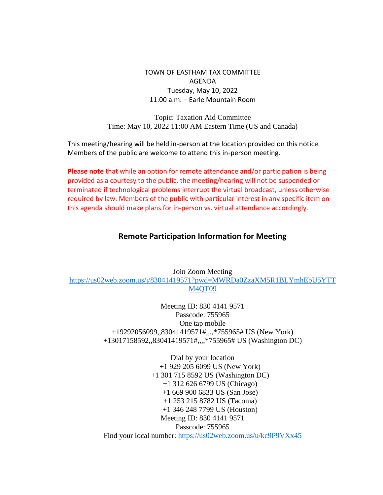TOWN OF EASTHAM TAX COMMITTEE AGENDA Tuesday, May 10, 2022 11:00 a.m. – Earle Mountain Room

Topic: Taxation Aid Committee Time: May 10, 2022 11:00 AM Eastern Time (US and Canada)

This meeting/hearing will be held in-person at the location provided on this notice. Members of the public are welcome to attend this in-person meeting.

**Please note** that while an option for remote attendance and/or participation is being provided as a courtesy to the public, the meeting/hearing will not be suspended or terminated if technological problems interrupt the virtual broadcast, unless otherwise required by law. Members of the public with particular interest in any specific item on this agenda should make plans for in-person vs. virtual attendance accordingly.

## **Remote Participation Information for Meeting**

Join Zoom Meeting [https://us02web.zoom.us/j/83041419571?pwd=MWRDa0ZzaXM5R1BLYmhEbU5YTT](https://us02web.zoom.us/j/83041419571?pwd=MWRDa0ZzaXM5R1BLYmhEbU5YTTM4QT09) [M4QT09](https://us02web.zoom.us/j/83041419571?pwd=MWRDa0ZzaXM5R1BLYmhEbU5YTTM4QT09)

> Meeting ID: 830 4141 9571 Passcode: 755965 One tap mobile +19292056099,,83041419571#,,,,\*755965# US (New York) +13017158592,,83041419571#,,,,\*755965# US (Washington DC)

> Dial by your location +1 929 205 6099 US (New York) +1 301 715 8592 US (Washington DC) +1 312 626 6799 US (Chicago) +1 669 900 6833 US (San Jose) +1 253 215 8782 US (Tacoma) +1 346 248 7799 US (Houston) Meeting ID: 830 4141 9571 Passcode: 755965 Find your local number: <https://us02web.zoom.us/u/kc9P9VXx45>